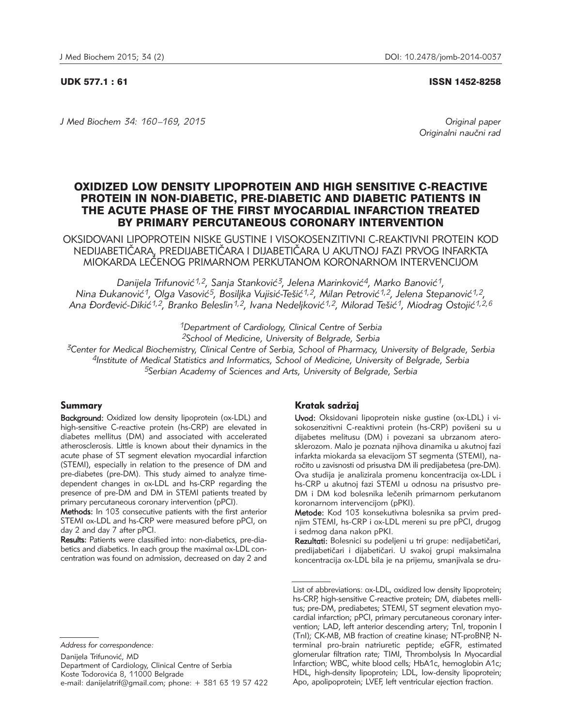#### UDK 577.1 : 61 ISSN 1452-8258

*J Med Biochem 34: 160 –169, 2015 Original paper*

Originalni naučni rad

# OXIDIZED LOW DENSITY LIPOPROTEIN AND HIGH SENSITIVE C-REACTIVE PROTEIN IN NON-DIABETIC, PRE-DIABETIC AND DIABETIC PATIENTS IN THE ACUTE PHASE OF THE FIRST MYOCARDIAL INFARCTION TREATED BY PRIMARY PERCUTANEOUS CORONARY INTERVENTION

OKSIDOVANI LIPOPROTEIN NISKE GUSTINE I VISOKOSENZITIVNI C-REAKTIVNI PROTEIN KOD NEDIJABETIČARA, PREDIJABETIČARA I DIJABETIČARA U AKUTNOJ FAZI PRVOG INFARKTA MIOKARDA LE^ENOG PRIMARNOM PERKUTANOM KORONARNOM INTERVENCIJOM

Danijela Trifunović<sup>1,2</sup>, Sanja Stanković<sup>3</sup>, Jelena Marinković<sup>4</sup>, Marko Banović<sup>1</sup>, *Nina \ukanovi}1, Olga Vasovi}5, Bosiljka Vujisi}-Te{i}1,2, Milan Petrovi}1,2, Jelena Stepanovi}1,2, Ana \or|evi}-Diki}1,2, Branko Beleslin1,2, Ivana Nedeljkovi}1,2, Milorad Te{i}1, Miodrag Ostoji}1,2,6*

*1Department of Cardiology, Clinical Centre of Serbia*

*2School of Medicine, University of Belgrade, Serbia*

*3Center for Medical Biochemistry, Clinical Centre of Serbia, School of Pharmacy, University of Belgrade, Serbia 4Institute of Medical Statistics and Informatics, School of Medicine, University of Belgrade, Serbia 5Serbian Academy of Sciences and Arts, University of Belgrade, Serbia*

# Summary

Background: Oxidized low density lipoprotein (ox-LDL) and high-sensitive C-reactive protein (hs-CRP) are elevated in diabetes mellitus (DM) and associated with accelerated atherosclerosis. Little is known about their dynamics in the acute phase of ST segment elevation myocardial infarction (STEMI), especially in relation to the presence of DM and pre-diabetes (pre-DM). This study aimed to analyze timedependent changes in ox-LDL and hs-CRP regarding the presence of pre-DM and DM in STEMI patients treated by primary percutaneous coronary intervention (pPCI).

Methods: In 103 consecutive patients with the first anterior STEMI ox-LDL and hs-CRP were measured before pPCI, on day 2 and day 7 after pPCI.

Results: Patients were classified into: non-diabetics, pre-diabetics and diabetics. In each group the maximal ox-LDL concentration was found on admission, decreased on day 2 and

*Address for correspondence:*

Danijela Trifunović, MD Department of Cardiology, Clinical Centre of Serbia Koste Todorovića 8, 11000 Belgrade e-mail: danijelatrif@gmail.com; phone:  $+ 381 63 19 57 422$ 

# Kratak sadržaj

Uvod: Oksidovani lipoprotein niske gustine (ox-LDL) i visokosenzitivni C-reaktivni protein (hs-CRP) povišeni su u dijabetes melitusu (DM) i povezani sa ubrzanom aterosklerozom. Malo je poznata njihova dinamika u akutnoj fazi infarkta miokarda sa elevacijom ST segmenta (STEMI), na ročito u zavisnosti od prisustva DM ili predijabetesa (pre-DM). Ova studija je analizirala promenu koncentracija ox-LDL i hs-CRP u akutnoj fazi STEMI u odnosu na prisustvo pre-DM i DM kod bolesnika lečenih primarnom perkutanom koronarnom intervencijom (pPKI).

Metode: Kod 103 konsekutivna bolesnika sa prvim prednjim STEMI, hs-CRP i ox-LDL mereni su pre pPCI, drugog i sedmog dana nakon pPKI.

Rezultati: Bolesnici su podeljeni u tri grupe: nedijabetičari, predijabetičari i dijabetičari. U svakoj grupi maksimalna koncentracija ox-LDL bila je na prijemu, smanjivala se dru-

List of abbreviations: ox-LDL, oxidized low density lipoprotein; hs-CRP, high-sensitive C-reactive protein; DM, diabetes mellitus; pre-DM, prediabetes; STEMI, ST segment elevation myocardial infarction; pPCI, primary percutaneous coronary intervention; LAD, left anterior descending artery; TnI, troponin I (TnI); CK-MB, MB fraction of creatine kinase; NT-proBNP, Nterminal pro-brain natriuretic peptide; eGFR, estimated glomerular filtration rate; TIMI, Thrombolysis In Myocardial Infarction; WBC, white blood cells; HbA1c, hemoglobin A1c; HDL, high-density lipoprotein; LDL, low-density lipoprotein; Apo, apolipoprotein; LVEF, left ventricular ejection fraction.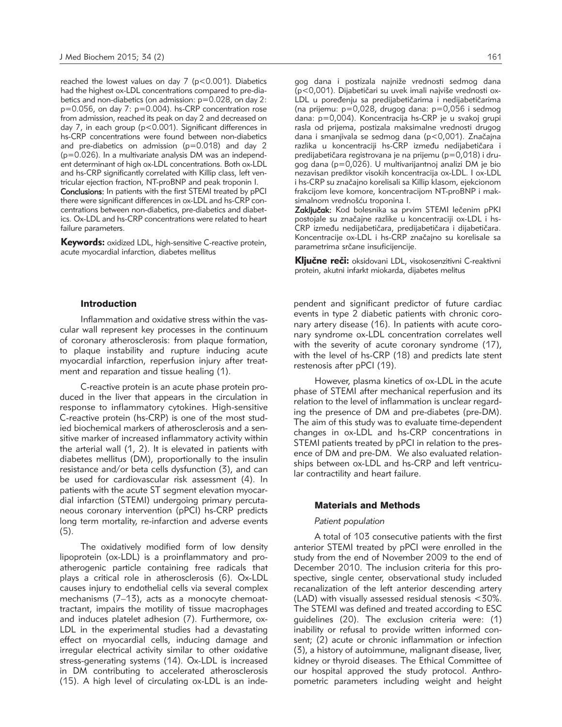reached the lowest values on day 7 (p<0.001). Diabetics had the highest ox-LDL concentrations compared to pre-diabetics and non-diabetics (on admission: p=0.028, on day 2: p=0.056, on day 7: p=0.004). hs-CRP concentration rose from admission, reached its peak on day 2 and decreased on day 7, in each group (p<0.001). Significant differences in hs-CRP concentrations were found between non-diabetics and pre-diabetics on admission (p=0.018) and day 2 (p=0.026). In a multivariate analysis DM was an independent determinant of high ox-LDL concentrations. Both ox-LDL and hs-CRP significantly correlated with Killip class, left ventricular ejection fraction, NT-proBNP and peak troponin I.

Conclusions: In patients with the first STEMI treated by pPCI there were significant differences in ox-LDL and hs-CRP concentrations between non-diabetics, pre-diabetics and diabetics. Ox-LDL and hs-CRP concentrations were related to heart failure parameters.

Keywords: oxidized LDL, high-sensitive C-reactive protein, acute myocardial infarction, diabetes mellitus

# Introduction

Inflammation and oxidative stress within the vascular wall represent key processes in the continuum of coronary atherosclerosis: from plaque formation, to plaque instability and rupture inducing acute myocardial infarction, reperfusion injury after treatment and reparation and tissue healing (1).

C-reactive protein is an acute phase protein produced in the liver that appears in the circulation in response to inflammatory cytokines. High-sensitive C-reactive protein (hs-CRP) is one of the most studied biochemical markers of atherosclerosis and a sensitive marker of increased inflammatory activity within the arterial wall (1, 2). It is elevated in patients with diabetes mellitus (DM), proportionally to the insulin resistance and/or beta cells dysfunction (3), and can be used for cardiovascular risk assessment (4). In patients with the acute ST segment elevation myocardial infarction (STEMI) undergoing primary percutaneous coronary intervention (pPCI) hs-CRP predicts long term mortality, re-infarction and adverse events (5).

The oxidatively modified form of low density lipoprotein (ox-LDL) is a proinflammatory and proatherogenic particle containing free radicals that plays a critical role in atherosclerosis (6). Ox-LDL causes injury to endothelial cells via several complex mechanisms (7–13), acts as a monocyte chemoattractant, impairs the motility of tissue macrophages and induces platelet adhesion (7). Furthermore, ox-LDL in the experimental studies had a devastating effect on myocardial cells, inducing damage and irregular electrical activity similar to other oxidative stress-generating systems (14). Ox-LDL is increased in DM contributing to accelerated atherosclerosis (15). A high level of circulating ox-LDL is an inde-

gog dana i postizala najniže vrednosti sedmog dana (p<0,001). Dijabetičari su uvek imali najviše vrednosti ox-LDL u poređenju sa predijabetičarima i nedijabetičarima (na prijemu: p=0,028, drugog dana: p=0,056 i sedmog dana: p=0,004). Koncentracija hs-CRP je u svakoj grupi rasla od prijema, postizala maksimalne vrednosti drugog dana i smanjivala se sedmog dana (p<0,001). Značajna razlika u koncentraciji hs-CRP između nedijabetičara i predijabetičara registrovana je na prijemu (p=0,018) i drugog dana (p=0,026). U multivarijantnoj analizi DM je bio nezavisan prediktor visokih koncentracija ox-LDL. I ox-LDL i hs-CRP su značajno korelisali sa Killip klasom, ejekcionom frakcijom leve komore, koncentracijom NT-proBNP i maksimalnom vrednošću troponina I.

Zaključak: Kod bolesnika sa prvim STEMI lečenim pPKI postojale su značajne razlike u koncentraciji ox-LDL i hs-CRP između nedijabetičara, predijabetičara i dijabetičara. Koncentracije ox-LDL i hs-CRP značajno su korelisale sa parametrima srčane insuficijencije.

Ključne reči: oksidovani LDL, visokosenzitivni C-reaktivni protein, akutni infarkt miokarda, dijabetes melitus

pendent and significant predictor of future cardiac events in type 2 diabetic patients with chronic coronary artery disease (16). In patients with acute coronary syndrome ox-LDL concentration correlates well with the severity of acute coronary syndrome (17), with the level of hs-CRP (18) and predicts late stent restenosis after pPCI (19).

However, plasma kinetics of ox-LDL in the acute phase of STEMI after mechanical reperfusion and its relation to the level of inflammation is unclear regarding the presence of DM and pre-diabetes (pre-DM). The aim of this study was to evaluate time-dependent changes in ox-LDL and hs-CRP concentrations in STEMI patients treated by pPCI in relation to the presence of DM and pre-DM. We also evaluated relationships between ox-LDL and hs-CRP and left ventricular contractility and heart failure.

### Materials and Methods

# *Patient population*

A total of 103 consecutive patients with the first anterior STEMI treated by pPCI were enrolled in the study from the end of November 2009 to the end of December 2010. The inclusion criteria for this prospective, single center, observational study included recanalization of the left anterior descending artery (LAD) with visually assessed residual stenosis <30%. The STEMI was defined and treated according to ESC guidelines (20). The exclusion criteria were: (1) inability or refusal to provide written informed consent; (2) acute or chronic inflammation or infection (3), a history of autoimmune, malignant disease, liver, kidney or thyroid diseases. The Ethical Committee of our hospital approved the study protocol. Anthropometric parameters including weight and height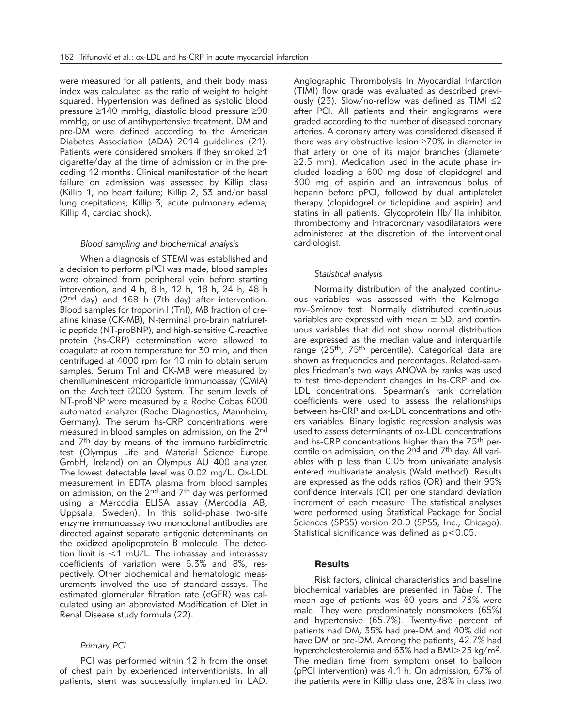were measured for all patients, and their body mass index was calculated as the ratio of weight to height squared. Hypertension was defined as systolic blood pressure ≥140 mmHg, diastolic blood pressure ≥90 mmHg, or use of antihypertensive treatment. DM and pre-DM were defined according to the American Diabetes Association (ADA) 2014 guidelines (21). Patients were considered smokers if they smoked ≥1 cigarette/day at the time of admission or in the preceding 12 months. Clinical manifestation of the heart failure on admission was assessed by Killip class (Killip 1, no heart failure; Killip 2, S3 and/or basal lung crepitations; Killip 3, acute pulmonary edema; Killip 4, cardiac shock).

#### *Blood sampling and biochemical analysis*

When a diagnosis of STEMI was established and a decision to perform pPCI was made, blood samples were obtained from peripheral vein before starting intervention, and 4 h, 8 h, 12 h, 18 h, 24 h, 48 h (2nd day) and 168 h (7th day) after intervention. Blood samples for troponin I (TnI), MB fraction of creatine kinase (CK-MB), N-terminal pro-brain natriuretic peptide (NT-proBNP), and high-sensitive C-reactive protein (hs-CRP) determination were allowed to coagulate at room temperature for 30 min, and then centrifuged at 4000 rpm for 10 min to obtain serum samples. Serum TnI and CK-MB were measured by chemiluminescent microparticle immunoassay (CMIA) on the Architect i2000 System. The serum levels of NT-proBNP were measured by a Roche Cobas 6000 automated analyzer (Roche Diagnostics, Mannheim, Germany). The serum hs-CRP concentrations were measured in blood samples on admission, on the 2nd and  $7<sup>th</sup>$  day by means of the immuno-turbidimetric test (Olympus Life and Material Science Europe GmbH, Ireland) on an Olympus AU 400 analyzer. The lowest detectable level was 0.02 mg/L. Ox-LDL measurement in EDTA plasma from blood samples on admission, on the  $2<sup>nd</sup>$  and  $7<sup>th</sup>$  day was performed using a Mercodia ELISA assay (Mercodia AB, Uppsala, Sweden). In this solid-phase two-site enzyme immunoassay two monoclonal antibodies are directed against separate antigenic determinants on the oxidized apolipoprotein B molecule. The detection limit is <1 mU/L. The intrassay and interassay coefficients of variation were 6.3% and 8%, respectively. Other biochemical and hematologic measurements involved the use of standard assays. The estimated glomerular filtration rate (eGFR) was calculated using an abbreviated Modification of Diet in Renal Disease study formula (22).

# *Primary PCI*

PCI was performed within 12 h from the onset of chest pain by experienced interventionists. In all patients, stent was successfully implanted in LAD. Angiographic Thrombolysis In Myocardial Infarction (TIMI) flow grade was evaluated as described previously (23). Slow/no-reflow was defined as TIMI ≤2 after PCI. All patients and their angiograms were graded according to the number of diseased coronary arteries. A coronary artery was considered diseased if there was any obstructive lesion ≥70% in diameter in that artery or one of its major branches (diameter  $\geq$ 2.5 mm). Medication used in the acute phase included loading a 600 mg dose of clopidogrel and 300 mg of aspirin and an intravenous bolus of heparin before pPCI, followed by dual antiplatelet therapy (clopidogrel or ticlopidine and aspirin) and statins in all patients. Glycoprotein IIb/IIIa inhibitor, thrombectomy and intracoronary vasodilatators were administered at the discretion of the interventional cardiologist.

# *Statistical analysis*

Normality distribution of the analyzed continuous variables was assessed with the Kolmogorov–Smirnov test. Normally distributed continuous variables are expressed with mean  $\pm$  SD, and continuous variables that did not show normal distribution are expressed as the median value and interquartile range (25<sup>th</sup>, 75<sup>th</sup> percentile). Categorical data are shown as frequencies and percentages. Related-samples Friedman's two ways ANOVA by ranks was used to test time-dependent changes in hs-CRP and ox-LDL concentrations. Spearman's rank correlation coefficients were used to assess the relationships between hs-CRP and ox-LDL concentrations and others variables. Binary logistic regression analysis was used to assess determinants of ox-LDL concentrations and hs-CRP concentrations higher than the 75th percentile on admission, on the 2<sup>nd</sup> and 7<sup>th</sup> day. All variables with p less than 0.05 from univariate analysis entered multivariate analysis (Wald method). Results are expressed as the odds ratios (OR) and their 95% confidence intervals (CI) per one standard deviation increment of each measure. The statistical analyses were performed using Statistical Package for Social Sciences (SPSS) version 20.0 (SPSS, Inc., Chicago). Statistical significance was defined as  $p < 0.05$ .

## **Results**

Risk factors, clinical characteristics and baseline biochemical variables are presented in *Table I*. The mean age of patients was 60 years and 73% were male. They were predominately nonsmokers (65%) and hypertensive (65.7%). Twenty-five percent of patients had DM, 35% had pre-DM and 40% did not have DM or pre-DM. Among the patients, 42.7% had hypercholesterolemia and 63% had a BMI>25 kg/m2. The median time from symptom onset to balloon (pPCI intervention) was 4.1 h. On admission, 67% of the patients were in Killip class one, 28% in class two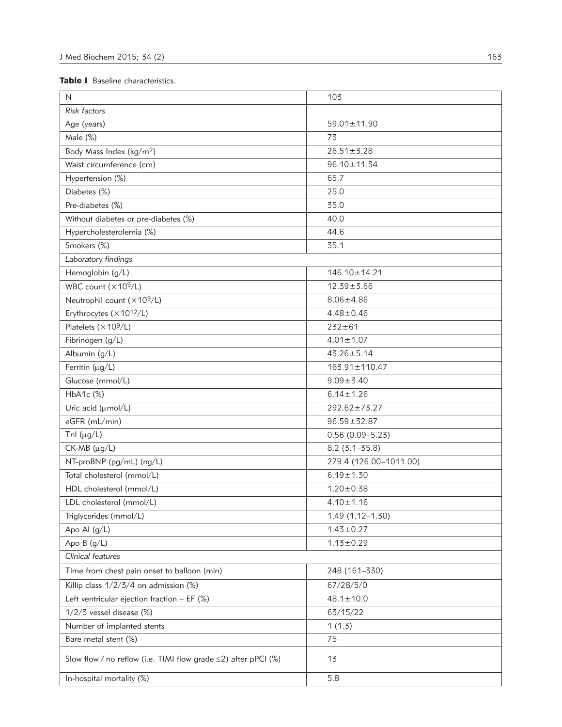# Table I Baseline characteristics.

| N                                                                    | 103                    |  |  |
|----------------------------------------------------------------------|------------------------|--|--|
| Risk factors                                                         |                        |  |  |
| Age (years)                                                          | 59.01±11.90            |  |  |
| Male (%)                                                             | 73                     |  |  |
| Body Mass Index (kg/m <sup>2</sup> )                                 | $26.51 \pm 3.28$       |  |  |
| Waist circumference (cm)                                             | 96.10±11.34            |  |  |
| Hypertension (%)                                                     | 65.7                   |  |  |
| Diabetes (%)                                                         | 25.0                   |  |  |
| Pre-diabetes (%)                                                     | 35.0                   |  |  |
| Without diabetes or pre-diabetes (%)                                 | 40.0                   |  |  |
| Hypercholesterolemia (%)                                             | 44.6                   |  |  |
| Smokers (%)                                                          | 35.1                   |  |  |
| Laboratory findings                                                  |                        |  |  |
| Hemoglobin (g/L)                                                     | 146.10±14.21           |  |  |
| WBC count $(x109/L)$                                                 | $12.39 + 3.66$         |  |  |
| Neutrophil count (×109/L)                                            | $8.06 \pm 4.86$        |  |  |
| Erythrocytes (×1012/L)                                               | $4.48 \pm 0.46$        |  |  |
| Platelets ( $\times$ 10 <sup>9</sup> /L)                             | $232 + 61$             |  |  |
| Fibrinogen (g/L)                                                     | $4.01 \pm 1.07$        |  |  |
| Albumin (g/L)                                                        | $43.26 \pm 5.14$       |  |  |
| Ferritin (µg/L)                                                      | 163.91±110.47          |  |  |
| Glucose (mmol/L)                                                     | $9.09 \pm 3.40$        |  |  |
| HbA1c (%)                                                            | $6.14 \pm 1.26$        |  |  |
| Uric acid (umol/L)                                                   | $292.62 \pm 73.27$     |  |  |
| eGFR (mL/min)                                                        | $96.59 \pm 32.87$      |  |  |
| Tnl $(\mu g/L)$                                                      | $0.56(0.09 - 5.23)$    |  |  |
| $CK-MB$ ( $\mu$ g/L)                                                 | $8.2(3.1 - 35.8)$      |  |  |
| NT-proBNP (pg/mL) (ng/L)                                             | 279.4 (126.00-1011.00) |  |  |
| Total cholesterol (mmol/L)                                           | $6.19 \pm 1.30$        |  |  |
| HDL cholesterol (mmol/L)                                             | $1.20 \pm 0.38$        |  |  |
| LDL cholesterol (mmol/L)                                             | $4.10 \pm 1.16$        |  |  |
| Triglycerides (mmol/L)                                               | 1.49 (1.12-1.30)       |  |  |
| Apo Al $(g/L)$                                                       | $1.43 \pm 0.27$        |  |  |
| Apo $B(g/L)$                                                         | $1.13 \pm 0.29$        |  |  |
| Clinical features                                                    |                        |  |  |
| Time from chest pain onset to balloon (min)                          | 248 (161-330)          |  |  |
| Killip class $1/2/3/4$ on admission (%)                              | 67/28/5/0              |  |  |
| Left ventricular ejection fraction $-$ EF (%)                        | $48.1 \pm 10.0$        |  |  |
| $1/2/3$ vessel disease (%)                                           | 63/15/22               |  |  |
| Number of implanted stents                                           | 1(1.3)                 |  |  |
| Bare metal stent (%)                                                 | 75                     |  |  |
| Slow flow / no reflow (i.e. TIMI flow grade $\leq$ 2) after pPCI (%) | 13                     |  |  |
| In-hospital mortality (%)                                            | 5.8                    |  |  |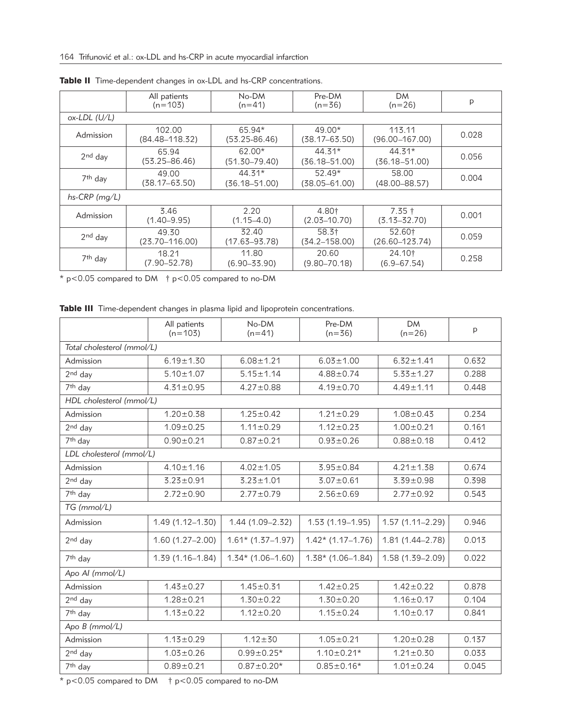|                     | All patients<br>$(n=103)$    | No-DM<br>$(n=41)$             | Pre-DM<br>$(n=36)$        | <b>DM</b><br>$(n=26)$                 | p     |
|---------------------|------------------------------|-------------------------------|---------------------------|---------------------------------------|-------|
| $ox-LDL$ (U/L)      |                              |                               |                           |                                       |       |
| Admission           | 102.00<br>$(84.48 - 118.32)$ | 65.94*<br>$(53.25 - 86.46)$   | $49.00*$<br>(38.17–63.50) | 113.11<br>$(96.00 - 167.00)$          | 0.028 |
| $2nd$ day           | 65.94<br>$(53.25 - 86.46)$   | 62.00*<br>$(51.30 - 79.40)$   | $44.31*$<br>(36.18–51.00) | $44.31*$<br>$(36.18 - 51.00)$         | 0.056 |
| 7 <sup>th</sup> day | 49.00<br>(38.17–63.50)       | $44.31*$<br>$(36.18 - 51.00)$ | $52.49*$<br>(38.05–61.00) | 58.00<br>$(48.00 - 88.57)$            | 0.004 |
| $hs-CRP$ (mg/L)     |                              |                               |                           |                                       |       |
| Admission           | 3.46<br>$(1.40 - 9.95)$      | 2.20<br>$(1.15 - 4.0)$        | 4.80†<br>$(2.03 - 10.70)$ | $7.35 \text{ }^+$<br>$(3.13 - 32.70)$ | 0.001 |
| $2nd$ day           | 49.30<br>$(23.70 - 116.00)$  | 32.40<br>$(17.63 - 93.78)$    | 58.3†<br>(34.2–158.00)    | 52.60†<br>$(26.60 - 123.74)$          | 0.059 |
| 7 <sup>th</sup> day | 18.21<br>$(7.90 - 52.78)$    | 11.80<br>$(6.90 - 33.90)$     | 20.60<br>$(9.80 - 70.18)$ | 24.10†<br>$(6.9 - 67.54)$             | 0.258 |

Table II Time-dependent changes in ox-LDL and hs-CRP concentrations.

\* p<0.05 compared to DM † p<0.05 compared to no-DM

Table III Time-dependent changes in plasma lipid and lipoprotein concentrations.

|                            | All patients<br>$(n=103)$ | No-DM<br>$(n=41)$   | Pre-DM<br>$(n=36)$  | <b>DM</b><br>$(n=26)$ | p     |  |  |
|----------------------------|---------------------------|---------------------|---------------------|-----------------------|-------|--|--|
| Total cholesterol (mmol/L) |                           |                     |                     |                       |       |  |  |
| Admission                  | $6.19 \pm 1.30$           | $6.08 \pm 1.21$     | $6.03 \pm 1.00$     | $6.32 \pm 1.41$       | 0.632 |  |  |
| $2nd$ day                  | $5.10 \pm 1.07$           | $5.15 \pm 1.14$     | $4.88 \pm 0.74$     | $5.33 \pm 1.27$       | 0.288 |  |  |
| 7 <sup>th</sup> day        | $4.31 \pm 0.95$           | $4.27 \pm 0.88$     | $4.19 \pm 0.70$     | $4.49 \pm 1.11$       | 0.448 |  |  |
| HDL cholesterol (mmol/L)   |                           |                     |                     |                       |       |  |  |
| Admission                  | $1.20 \pm 0.38$           | $1.25 \pm 0.42$     | $1.21 \pm 0.29$     | $1.08 \pm 0.43$       | 0.234 |  |  |
| $2nd$ day                  | $1.09 \pm 0.25$           | $1.11 \pm 0.29$     | $1.12 \pm 0.23$     | $1.00 \pm 0.21$       | 0.161 |  |  |
| 7 <sup>th</sup> day        | $0.90 \pm 0.21$           | $0.87 + 0.21$       | $0.93 \pm 0.26$     | $0.88 + 0.18$         | 0.412 |  |  |
| LDL cholesterol (mmol/L)   |                           |                     |                     |                       |       |  |  |
| Admission                  | $4.10 \pm 1.16$           | $4.02 \pm 1.05$     | $3.95 \pm 0.84$     | $4.21 \pm 1.38$       | 0.674 |  |  |
| 2 <sup>nd</sup> day        | $3.23 \pm 0.91$           | $3.23 \pm 1.01$     | $3.07 \pm 0.61$     | $3.39 \pm 0.98$       | 0.398 |  |  |
| 7 <sup>th</sup> day        | $2.72 \pm 0.90$           | $2.77 \pm 0.79$     | $2.56 \pm 0.69$     | $2.77 \pm 0.92$       | 0.543 |  |  |
| $TG$ (mmol/L)              |                           |                     |                     |                       |       |  |  |
| Admission                  | $1.49(1.12 - 1.30)$       | $1.44(1.09 - 2.32)$ | $1.53(1.19-1.95)$   | $1.57(1.11 - 2.29)$   | 0.946 |  |  |
| $2nd$ day                  | $1.60(1.27-2.00)$         | $1.61*$ (1.37-1.97) | $1.42*$ (1.17-1.76) | 1.81 (1.44-2.78)      | 0.013 |  |  |
| 7 <sup>th</sup> day        | $1.39(1.16 - 1.84)$       | $1.34*$ (1.06-1.60) | $1.38*$ (1.06-1.84) | $1.58(1.39 - 2.09)$   | 0.022 |  |  |
| Apo Al (mmol/L)            |                           |                     |                     |                       |       |  |  |
| Admission                  | $1.43 \pm 0.27$           | $1.45 \pm 0.31$     | $1.42 \pm 0.25$     | $1.42 \pm 0.22$       | 0.878 |  |  |
| 2 <sup>nd</sup> day        | $1.28 + 0.21$             | $1.30 \pm 0.22$     | $1.30 \pm 0.20$     | $1.16 \pm 0.17$       | 0.104 |  |  |
| 7 <sup>th</sup> day        | $1.13 \pm 0.22$           | $1.12 \pm 0.20$     | $1.15 \pm 0.24$     | $1.10 \pm 0.17$       | 0.841 |  |  |
| Apo B (mmol/L)             |                           |                     |                     |                       |       |  |  |
| Admission                  | $1.13 \pm 0.29$           | $1.12 + 30$         | $1.05 \pm 0.21$     | $1.20 \pm 0.28$       | 0.137 |  |  |
| $2nd$ day                  | $1.03 \pm 0.26$           | $0.99 \pm 0.25*$    | $1.10 \pm 0.21*$    | $1.21 \pm 0.30$       | 0.033 |  |  |
| 7 <sup>th</sup> day        | $0.89 + 0.21$             | $0.87 \pm 0.20*$    | $0.85 \pm 0.16*$    | $1.01 \pm 0.24$       | 0.045 |  |  |

\* p<0.05 compared to DM † p<0.05 compared to no-DM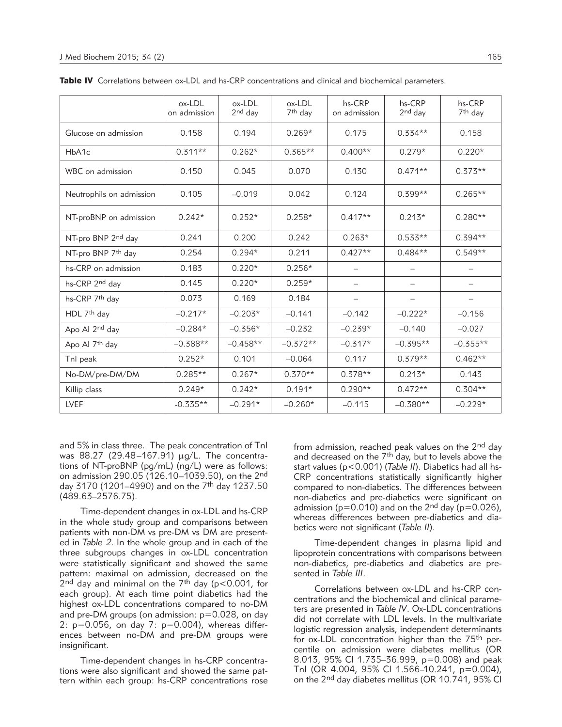|                                | ox-LDL<br>on admission | ox-LDL<br>$2nd$ day | ox-LDL<br>7 <sup>th</sup> day | hs-CRP<br>on admission | hs-CRP<br>$2nd$ day | hs-CRP<br>7 <sup>th</sup> day |
|--------------------------------|------------------------|---------------------|-------------------------------|------------------------|---------------------|-------------------------------|
| Glucose on admission           | 0.158                  | 0.194               | $0.269*$                      | 0.175                  | $0.334**$           | 0.158                         |
| HbA1c                          | $0.311**$              | $0.262*$            | $0.365**$                     | $0.400**$              | $0.279*$            | $0.220*$                      |
| WBC on admission               | 0.150                  | 0.045               | 0.070                         | 0.130                  | $0.471**$           | $0.373**$                     |
| Neutrophils on admission       | 0.105                  | $-0.019$            | 0.042                         | 0.124                  | $0.399**$           | $0.265**$                     |
| NT-proBNP on admission         | $0.242*$               | $0.252*$            | $0.258*$                      | $0.417**$              | $0.213*$            | $0.280**$                     |
| NT-pro BNP 2nd day             | 0.241                  | 0.200               | 0.242                         | $0.263*$               | $0.533**$           | $0.394**$                     |
| NT-pro BNP 7 <sup>th</sup> day | 0.254                  | $0.294*$            | 0.211                         | $0.427**$              | $0.484**$           | $0.549**$                     |
| hs-CRP on admission            | 0.183                  | $0.220*$            | $0.256*$                      |                        |                     |                               |
| hs-CRP 2nd day                 | 0.145                  | $0.220*$            | $0.259*$                      | $\qquad \qquad -$      |                     | $\qquad \qquad -$             |
| hs-CRP 7 <sup>th</sup> day     | 0.073                  | 0.169               | 0.184                         | -                      |                     | $\qquad \qquad -$             |
| HDL 7 <sup>th</sup> day        | $-0.217*$              | $-0.203*$           | $-0.141$                      | $-0.142$               | $-0.222*$           | $-0.156$                      |
| Apo Al 2nd day                 | $-0.284*$              | $-0.356*$           | $-0.232$                      | $-0.239*$              | $-0.140$            | $-0.027$                      |
| Apo Al 7 <sup>th</sup> day     | $-0.388**$             | $-0.458**$          | $-0.372**$                    | $-0.317*$              | $-0.395**$          | $-0.355**$                    |
| Tnl peak                       | $0.252*$               | 0.101               | $-0.064$                      | 0.117                  | $0.379**$           | $0.462**$                     |
| No-DM/pre-DM/DM                | $0.285**$              | $0.267*$            | $0.370**$                     | $0.378**$              | $0.213*$            | 0.143                         |
| Killip class                   | $0.249*$               | $0.242*$            | $0.191*$                      | $0.290**$              | $0.472**$           | $0.304**$                     |
| <b>LVEF</b>                    | $-0.335**$             | $-0.291*$           | $-0.260*$                     | $-0.115$               | $-0.380**$          | $-0.229*$                     |

Table IV Correlations between ox-LDL and hs-CRP concentrations and clinical and biochemical parameters.

and 5% in class three. The peak concentration of TnI was 88.27 (29.48-167.91) µg/L. The concentrations of NT-proBNP (pg/mL) (ng/L) were as follows: on admission 290.05 (126.10–1039.50), on the 2nd day 3170 (1201–4990) and on the 7th day 1237.50 (489.63–2576.75).

Time-dependent changes in ox-LDL and hs-CRP in the whole study group and comparisons between patients with non-DM vs pre-DM vs DM are presented in *Table 2*. In the whole group and in each of the three subgroups changes in ox-LDL concentration were statistically significant and showed the same pattern: maximal on admission, decreased on the  $2<sup>nd</sup>$  day and minimal on the 7<sup>th</sup> day (p<0.001, for each group). At each time point diabetics had the highest ox-LDL concentrations compared to no-DM and pre-DM groups (on admission: p=0.028, on day 2: p=0.056, on day 7: p=0.004), whereas differences between no-DM and pre-DM groups were insignificant.

Time-dependent changes in hs-CRP concentrations were also significant and showed the same pattern within each group: hs-CRP concentrations rose

from admission, reached peak values on the 2<sup>nd</sup> day and decreased on the 7<sup>th</sup> day, but to levels above the start values (p<0.001) (*Table II*). Diabetics had all hs-CRP concentrations statistically significantly higher compared to non-diabetics. The differences between non-diabetics and pre-diabetics were significant on admission ( $p=0.010$ ) and on the 2<sup>nd</sup> day ( $p=0.026$ ), whereas differences between pre-diabetics and diabetics were not significant (*Table II*).

Time-dependent changes in plasma lipid and lipoprotein concentrations with comparisons between non-diabetics, pre-diabetics and diabetics are presented in *Table III*.

Correlations between ox-LDL and hs-CRP concentrations and the biochemical and clinical parameters are presented in *Table IV*. Ox-LDL concentrations did not correlate with LDL levels. In the multivariate logistic regression analysis, independent determinants for ox-LDL concentration higher than the 75<sup>th</sup> percentile on admission were diabetes mellitus (OR 8.013, 95% CI 1.735–36.999, p=0.008) and peak TnI (OR 4.004, 95% CI 1.566–10.241, p=0.004), on the 2<sup>nd</sup> day diabetes mellitus (OR 10.741, 95% CI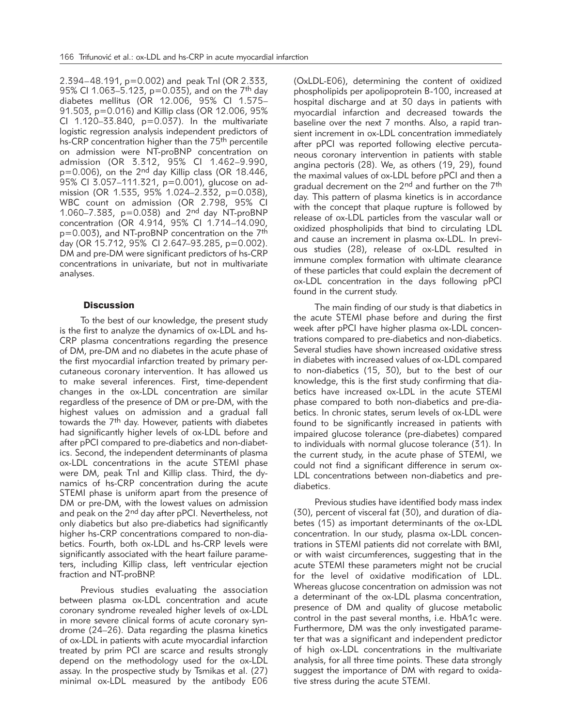2.394–48.191, p=0.002) and peak TnI (OR 2.333, 95% CI 1.063-5.123, p=0.035), and on the 7<sup>th</sup> day diabetes mellitus (OR 12.006, 95% CI 1.575– 91.503, p=0.016) and Killip class (OR 12.006, 95% CI 1.120–33.840, p=0.037). In the multivariate logistic regression analysis independent predictors of hs-CRP concentration higher than the 75th percentile on admission were NT-proBNP concentration on admission (OR 3.312, 95% CI 1.462–9.990,  $p=0.006$ ), on the 2<sup>nd</sup> day Killip class (OR 18.446, 95% CI 3.057-111.321, p=0.001), glucose on admission (OR 1.535, 95% 1.024–2.332, p=0.038), WBC count on admission (OR 2.798, 95% CI 1.060–7.383, p=0.038) and 2nd day NT-proBNP concentration (OR 4.914, 95% CI 1.714–14.090, p=0.003), and NT-proBNP concentration on the 7<sup>th</sup> day (OR 15.712, 95% CI 2.647–93.285, p=0.002). DM and pre-DM were significant predictors of hs-CRP concentrations in univariate, but not in multivariate analyses.

# **Discussion**

To the best of our knowledge, the present study is the first to analyze the dynamics of ox-LDL and hs-CRP plasma concentrations regarding the presence of DM, pre-DM and no diabetes in the acute phase of the first myocardial infarction treated by primary percutaneous coronary intervention. It has allowed us to make several inferences. First, time-dependent changes in the ox-LDL concentration are similar regardless of the presence of DM or pre-DM, with the highest values on admission and a gradual fall towards the 7<sup>th</sup> day. However, patients with diabetes had significantly higher levels of ox-LDL before and after pPCI compared to pre-diabetics and non-diabetics. Second, the independent determinants of plasma ox-LDL concentrations in the acute STEMI phase were DM, peak TnI and Killip class. Third, the dynamics of hs-CRP concentration during the acute STEMI phase is uniform apart from the presence of DM or pre-DM, with the lowest values on admission and peak on the 2<sup>nd</sup> day after pPCI. Nevertheless, not only diabetics but also pre-diabetics had significantly higher hs-CRP concentrations compared to non-diabetics. Fourth, both ox-LDL and hs-CRP levels were significantly associated with the heart failure parameters, including Killip class, left ventricular ejection fraction and NT-proBNP.

Previous studies evaluating the association between plasma ox-LDL concentration and acute coronary syndrome revealed higher levels of ox-LDL in more severe clinical forms of acute coronary syndrome (24–26). Data regarding the plasma kinetics of ox-LDL in patients with acute myocardial infarction treated by prim PCI are scarce and results strongly depend on the methodology used for the ox-LDL assay. In the prospective study by Tsmikas et al. (27) minimal ox-LDL measured by the antibody E06 (OxLDL-E06), determining the content of oxidized phospholipids per apolipoprotein B-100, increased at hospital discharge and at 30 days in patients with myocardial infarction and decreased towards the baseline over the next 7 months. Also, a rapid transient increment in ox-LDL concentration immediately after pPCI was reported following elective percutaneous coronary intervention in patients with stable angina pectoris (28). We, as others (19, 29), found the maximal values of ox-LDL before pPCI and then a gradual decrement on the 2<sup>nd</sup> and further on the 7<sup>th</sup> day. This pattern of plasma kinetics is in accordance with the concept that plaque rupture is followed by release of ox-LDL particles from the vascular wall or oxidized phospholipids that bind to circulating LDL and cause an increment in plasma ox-LDL. In previous studies (28), release of ox-LDL resulted in immune complex formation with ultimate clearance of these particles that could explain the decrement of ox-LDL concentration in the days following pPCI found in the current study.

The main finding of our study is that diabetics in the acute STEMI phase before and during the first week after pPCI have higher plasma ox-LDL concentrations compared to pre-diabetics and non-diabetics. Several studies have shown increased oxidative stress in diabetes with increased values of ox-LDL compared to non-diabetics (15, 30), but to the best of our knowledge, this is the first study confirming that diabetics have increased ox-LDL in the acute STEMI phase compared to both non-diabetics and pre-diabetics. In chronic states, serum levels of ox-LDL were found to be significantly increased in patients with impaired glucose tolerance (pre-diabetes) compared to individuals with normal glucose tolerance (31). In the current study, in the acute phase of STEMI, we could not find a significant difference in serum ox-LDL concentrations between non-diabetics and prediabetics.

Previous studies have identified body mass index (30), percent of visceral fat (30), and duration of diabetes (15) as important determinants of the ox-LDL concentration. In our study, plasma ox-LDL concentrations in STEMI patients did not correlate with BMI, or with waist circumferences, suggesting that in the acute STEMI these parameters might not be crucial for the level of oxidative modification of LDL. Whereas glucose concentration on admission was not a determinant of the ox-LDL plasma concentration, presence of DM and quality of glucose metabolic control in the past several months, i.e. HbA1c were. Furthermore, DM was the only investigated parameter that was a significant and independent predictor of high ox-LDL concentrations in the multivariate analysis, for all three time points. These data strongly suggest the importance of DM with regard to oxidative stress during the acute STEMI.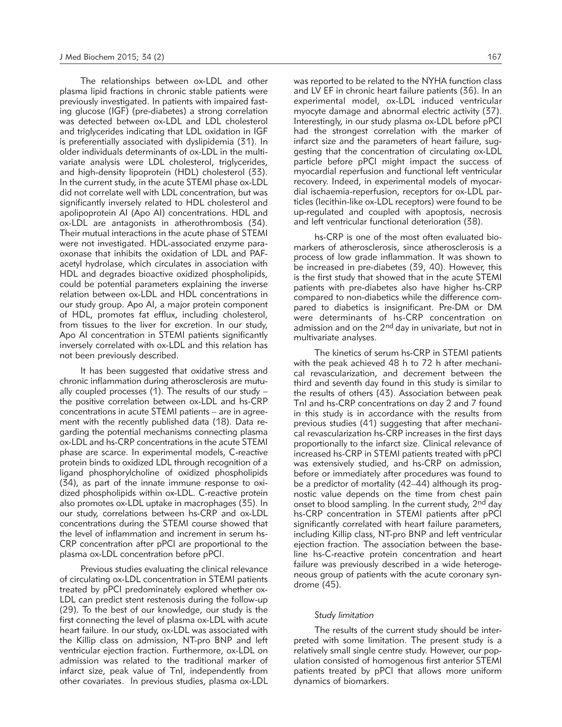The relationships between ox-LDL and other plasma lipid fractions in chronic stable patients were previously investigated. In patients with impaired fasting glucose (IGF) (pre-diabetes) a strong correlation was detected between ox-LDL and LDL cholesterol and triglycerides indicating that LDL oxidation in IGF is preferentially associated with dyslipidemia (31). In older individuals determinants of ox-LDL in the multivariate analysis were LDL cholesterol, triglycerides, and high-density lipoprotein (HDL) cholesterol (33). In the current study, in the acute STEMI phase ox-LDL did not correlate well with LDL concentration, but was significantly inversely related to HDL cholesterol and apolipoprotein AI (Apo AI) concentrations. HDL and ox-LDL are antagonists in atherothrombosis (34). Their mutual interactions in the acute phase of STEMI were not investigated. HDL-associated enzyme paraoxonase that inhibits the oxidation of LDL and PAFacetyl hydrolase, which circulates in association with HDL and degrades bioactive oxidized phospholipids, could be potential parameters explaining the inverse relation between ox-LDL and HDL concentrations in our study group. Apo AI, a major protein component of HDL, promotes fat efflux, including cholesterol, from tissues to the liver for excretion. In our study, Apo AI concentration in STEMI patients significantly inversely correlated with ox-LDL and this relation has not been previously described.

It has been suggested that oxidative stress and chronic inflammation during atherosclerosis are mutually coupled processes (1). The results of our study – the positive correlation between ox-LDL and hs-CRP concentrations in acute STEMI patients – are in agreement with the recently published data (18). Data regarding the potential mechanisms connecting plasma ox-LDL and hs-CRP concentrations in the acute STEMI phase are scarce. In experimental models, C-reactive protein binds to oxidized LDL through recognition of a ligand phosphorylcholine of oxidized phospholipids  $(34)$ , as part of the innate immune response to oxidized phospholipids within ox-LDL. C-reactive protein also promotes ox-LDL uptake in macrophages (35). In our study, correlations between hs-CRP and ox-LDL concentrations during the STEMI course showed that the level of inflammation and increment in serum hs-CRP concentration after pPCI are proportional to the plasma ox-LDL concentration before pPCI.

Previous studies evaluating the clinical relevance of circulating ox-LDL concentration in STEMI patients treated by pPCI predominately explored whether ox-LDL can predict stent restenosis during the follow-up (29). To the best of our knowledge, our study is the first connecting the level of plasma ox-LDL with acute heart failure. In our study, ox-LDL was associated with the Killip class on admission, NT-pro BNP and left ventricular ejection fraction. Furthermore, ox-LDL on admission was related to the traditional marker of infarct size, peak value of TnI, independently from other covariates. In previous studies, plasma ox-LDL was reported to be related to the NYHA function class and LV EF in chronic heart failure patients (36). In an experimental model, ox-LDL induced ventricular myocyte damage and abnormal electric activity (37). Interestingly, in our study plasma ox-LDL before pPCI had the strongest correlation with the marker of infarct size and the parameters of heart failure, suggesting that the concentration of circulating ox-LDL particle before pPCI might impact the success of myocardial reperfusion and functional left ventricular recovery. Indeed, in experimental models of myocardial ischaemia-reperfusion, receptors for ox-LDL particles (lecithin-like ox-LDL receptors) were found to be up-regulated and coupled with apoptosis, necrosis and left ventricular functional deterioration (38).

hs-CRP is one of the most often evaluated biomarkers of atherosclerosis, since atherosclerosis is a process of low grade inflammation. It was shown to be increased in pre-diabetes (39, 40). However, this is the first study that showed that in the acute STEMI patients with pre-diabetes also have higher hs-CRP compared to non-diabetics while the difference compared to diabetics is insignificant. Pre-DM or DM were determinants of hs-CRP concentration on admission and on the 2<sup>nd</sup> day in univariate, but not in multivariate analyses.

The kinetics of serum hs-CRP in STEMI patients with the peak achieved 48 h to 72 h after mechanical revascularization, and decrement between the third and seventh day found in this study is similar to the results of others (43). Association between peak TnI and hs-CRP concentrations on day 2 and 7 found in this study is in accordance with the results from previous studies (41) suggesting that after mechanical revascularization hs-CRP increases in the first days proportionally to the infarct size. Clinical relevance of increased hs-CRP in STEMI patients treated with pPCI was extensively studied, and hs-CRP on admission, before or immediately after procedures was found to be a predictor of mortality (42–44) although its prognostic value depends on the time from chest pain onset to blood sampling. In the current study, 2<sup>nd</sup> day hs-CRP concentration in STEMI patients after pPCI significantly correlated with heart failure parameters, including Killip class, NT-pro BNP and left ventricular ejection fraction. The association between the baseline hs-C-reactive protein concentration and heart failure was previously described in a wide heterogeneous group of patients with the acute coronary syndrome (45).

#### *Study limitation*

The results of the current study should be interpreted with some limitation. The present study is a relatively small single centre study. However, our population consisted of homogenous first anterior STEMI patients treated by pPCI that allows more uniform dynamics of biomarkers.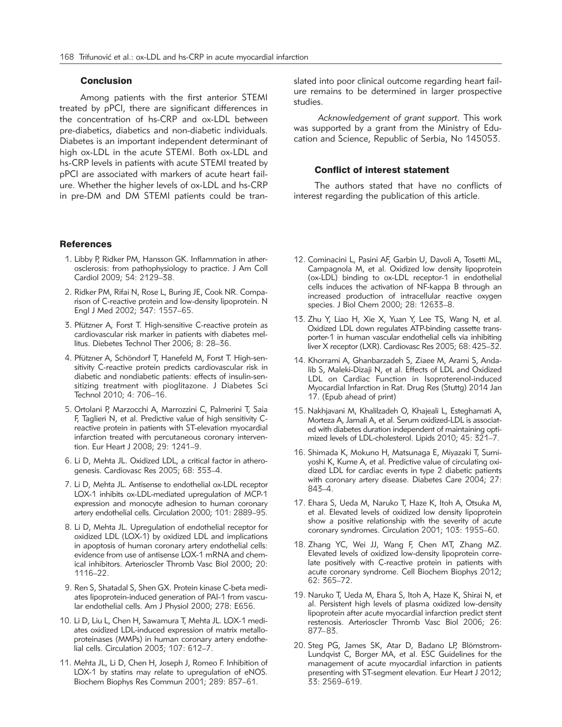# Conclusion

Among patients with the first anterior STEMI treated by pPCI, there are significant differences in the concentration of hs-CRP and ox-LDL between pre- diabetics, diabetics and non-diabetic individuals. Diabetes is an important independent determinant of high ox-LDL in the acute STEMI. Both ox-LDL and hs-CRP levels in patients with acute STEMI treated by pPCI are associated with markers of acute heart failure. Whether the higher levels of ox-LDL and hs-CRP in pre-DM and DM STEMI patients could be tran-

#### References

- 1. Libby P, Ridker PM, Hansson GK. Inflammation in atherosclerosis: from pathophysiology to practice. J Am Coll Cardiol 2009; 54: 2129–38.
- 2. Ridker PM, Rifai N, Rose L, Buring JE, Cook NR. Comparison of C-reactive protein and low-density lipoprotein. N Engl J Med 2002; 347: 1557–65.
- 3. Pfützner A, Forst T. High-sensitive C-reactive protein as cardiovascular risk marker in patients with diabetes mellitus. Diebetes Technol Ther 2006; 8: 28–36.
- 4. Pfützner A, Schöndorf T, Hanefeld M, Forst T. High-sensitivity C-reactive protein predicts cardiovascular risk in diabetic and nondiabetic patients: effects of insulin-sensitizing treatment with pioglitazone. J Diabetes Sci Technol 2010; 4: 706–16.
- 5. Ortolani P, Marzocchi A, Marrozzini C, Palmerini T, Saia F, Taglieri N, et al. Predictive value of high sensitivity Creactive protein in patients with ST-elevation myocardial infarction treated with percutaneous coronary intervention. Eur Heart J 2008; 29: 1241–9.
- 6. Li D, Mehta JL. Oxidized LDL, a critical factor in atherogenesis. Cardiovasc Res 2005; 68: 353–4.
- 7. Li D, Mehta JL. Antisense to endothelial ox-LDL receptor LOX-1 inhibits ox-LDL-mediated upregulation of MCP-1 expression and monocyte adhesion to human coronary artery endothelial cells. Circulation 2000; 101: 2889–95.
- 8. Li D, Mehta JL. Upregulation of endothelial receptor for oxidized LDL (LOX-1) by oxidized LDL and implications in apoptosis of human coronary artery endothelial cells: evidence from use of antisense LOX-1 mRNA and chemical inhibitors. Arterioscler Thromb Vasc Biol 2000; 20: 1116–22.
- 9. Ren S, Shatadal S, Shen GX. Protein kinase C-beta mediates lipoprotein-induced generation of PAI-1 from vascular endothelial cells. Am J Physiol 2000; 278: E656.
- 10. Li D, Liu L, Chen H, Sawamura T, Mehta JL. LOX-1 mediates oxidized LDL-induced expression of matrix metalloproteinases (MMPs) in human coronary artery endothelial cells. Circulation 2003; 107: 612–7.
- 11. Mehta JL, Li D, Chen H, Joseph J, Romeo F. Inhibition of LOX-1 by statins may relate to upregulation of eNOS. Biochem Biophys Res Commun 2001; 289: 857–61.

slated into poor clinical outcome regarding heart failure remains to be determined in larger prospective studies.

*Acknowledgement of grant support.* This work was supported by a grant from the Ministry of Education and Science, Republic of Serbia, No 145053.

#### Conflict of interest statement

The authors stated that have no conflicts of interest regarding the publication of this article.

- 12. Cominacini L, Pasini AF, Garbin U, Davoli A, Tosetti ML, Campagnola M, et al. Oxidized low density lipoprotein (ox-LDL) binding to ox-LDL receptor-1 in endothelial cells induces the activation of NF-kappa B through an increased production of intracellular reactive oxygen species. J Biol Chem 2000; 28: 12633–8.
- 13. Zhu Y, Liao H, Xie X, Yuan Y, Lee TS, Wang N, et al. Oxidized LDL down regulates ATP-binding cassette transporter-1 in human vascular endothelial cells via inhibiting liver X receptor (LXR). Cardiovasc Res 2005; 68: 425–32.
- 14. Khorrami A, Ghanbarzadeh S, Ziaee M, Arami S, Andalib S, Maleki-Dizaji N, et al. Effects of LDL and Oxidized LDL on Cardiac Function in Isoproterenol-induced Myocardial Infarction in Rat. Drug Res (Stuttg) 2014 Jan 17. (Epub ahead of print)
- 15. Nakhjavani M, Khalilzadeh O, Khajeali L, Esteghamati A, Morteza A, Jamali A, et al. Serum oxidized-LDL is associated with diabetes duration independent of maintaining optimized levels of LDL-cholesterol. Lipids 2010; 45: 321–7.
- 16. Shimada K, Mokuno H, Matsunaga E, Miyazaki T, Sumi yoshi K, Kume A, et al. Predictive value of circulating oxidized LDL for cardiac events in type 2 diabetic patients with coronary artery disease. Diabetes Care 2004; 27: 843–4.
- 17. Ehara S, Ueda M, Naruko T, Haze K, Itoh A, Otsuka M, et al. Elevated levels of oxidized low density lipoprotein show a positive relationship with the severity of acute coronary syndromes. Circulation 2001; 103: 1955–60.
- 18. Zhang YC, Wei JJ, Wang F, Chen MT, Zhang MZ. Elevated levels of oxidized low-density lipoprotein correlate positively with C-reactive protein in patients with acute coronary syndrome. Cell Biochem Biophys 2012; 62: 365–72.
- 19. Naruko T, Ueda M, Ehara S, Itoh A, Haze K, Shirai N, et al. Persistent high levels of plasma oxidized low-density lipoprotein after acute myocardial infarction predict stent restenosis. Arterioscler Thromb Vasc Biol 2006; 26: 877–83.
- 20. Steg PG, James SK, Atar D, Badano LP, Blömstrom-Lundqvist C, Borger MA, et al. ESC Guidelines for the management of acute myocardial infarction in patients presenting with ST-segment elevation. Eur Heart J 2012; 33: 2569–619.